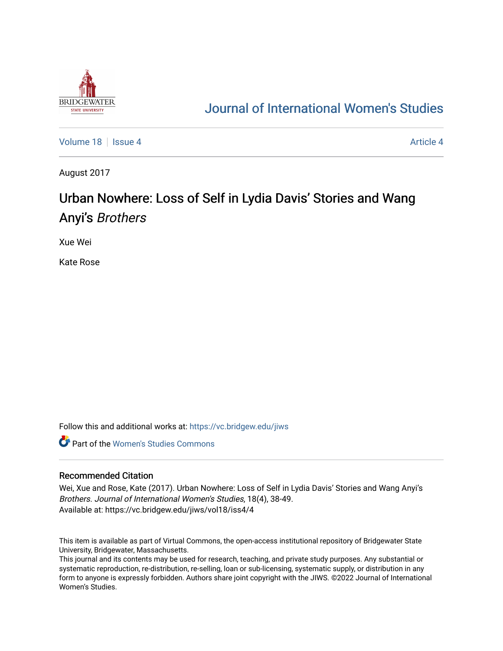

## [Journal of International Women's Studies](https://vc.bridgew.edu/jiws)

[Volume 18](https://vc.bridgew.edu/jiws/vol18) Setus 4 [Article 4](https://vc.bridgew.edu/jiws/vol18/iss4/4) Article 4 Article 4 Article 4 Article 4

August 2017

# Urban Nowhere: Loss of Self in Lydia Davis' Stories and Wang Anyi's Brothers

Xue Wei

Kate Rose

Follow this and additional works at: [https://vc.bridgew.edu/jiws](https://vc.bridgew.edu/jiws?utm_source=vc.bridgew.edu%2Fjiws%2Fvol18%2Fiss4%2F4&utm_medium=PDF&utm_campaign=PDFCoverPages)

**C** Part of the Women's Studies Commons

#### Recommended Citation

Wei, Xue and Rose, Kate (2017). Urban Nowhere: Loss of Self in Lydia Davis' Stories and Wang Anyi's Brothers. Journal of International Women's Studies, 18(4), 38-49. Available at: https://vc.bridgew.edu/jiws/vol18/iss4/4

This item is available as part of Virtual Commons, the open-access institutional repository of Bridgewater State University, Bridgewater, Massachusetts.

This journal and its contents may be used for research, teaching, and private study purposes. Any substantial or systematic reproduction, re-distribution, re-selling, loan or sub-licensing, systematic supply, or distribution in any form to anyone is expressly forbidden. Authors share joint copyright with the JIWS. ©2022 Journal of International Women's Studies.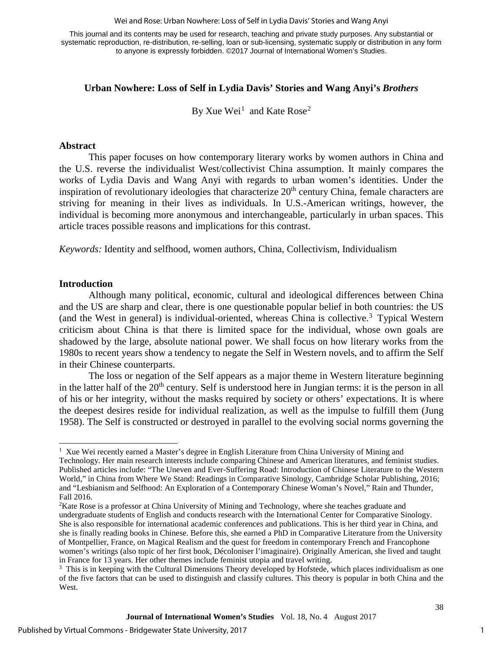#### Wei and Rose: Urban Nowhere: Loss of Self in Lydia Davis' Stories and Wang Anyi

This journal and its contents may be used for research, teaching and private study purposes. Any substantial or systematic reproduction, re-distribution, re-selling, loan or sub-licensing, systematic supply or distribution in any form to anyone is expressly forbidden. ©2017 Journal of International Women's Studies.

## **Urban Nowhere: Loss of Self in Lydia Davis' Stories and Wang Anyi's** *Brothers*

By Xue Wei<sup>[1](#page-1-0)</sup> and Kate Rose<sup>[2](#page-1-1)</sup>

#### **Abstract**

This paper focuses on how contemporary literary works by women authors in China and the U.S. reverse the individualist West/collectivist China assumption. It mainly compares the works of Lydia Davis and Wang Anyi with regards to urban women's identities. Under the inspiration of revolutionary ideologies that characterize  $20<sup>th</sup>$  century China, female characters are striving for meaning in their lives as individuals. In U.S.-American writings, however, the individual is becoming more anonymous and interchangeable, particularly in urban spaces. This article traces possible reasons and implications for this contrast.

*Keywords:* Identity and selfhood, women authors, China, Collectivism, Individualism

#### **Introduction**

Although many political, economic, cultural and ideological differences between China and the US are sharp and clear, there is one questionable popular belief in both countries: the US (and the West in general) is individual-oriented, whereas China is collective.<sup>[3](#page-1-2)</sup> Typical Western criticism about China is that there is limited space for the individual, whose own goals are shadowed by the large, absolute national power. We shall focus on how literary works from the 1980s to recent years show a tendency to negate the Self in Western novels, and to affirm the Self in their Chinese counterparts.

The loss or negation of the Self appears as a major theme in Western literature beginning in the latter half of the  $20<sup>th</sup>$  century. Self is understood here in Jungian terms: it is the person in all of his or her integrity, without the masks required by society or others' expectations. It is where the deepest desires reside for individual realization, as well as the impulse to fulfill them (Jung 1958). The Self is constructed or destroyed in parallel to the evolving social norms governing the

<span id="page-1-0"></span> $\overline{a}$ <sup>1</sup> Xue Wei recently earned a Master's degree in English Literature from China University of Mining and Technology. Her main research interests include comparing Chinese and American literatures, and feminist studies. Published articles include: "The Uneven and Ever-Suffering Road: Introduction of Chinese Literature to the Western World," in China from Where We Stand: Readings in Comparative Sinology, Cambridge Scholar Publishing, 2016; and "Lesbianism and Selfhood: An Exploration of a Contemporary Chinese Woman's Novel," Rain and Thunder, Fall 2016.

<span id="page-1-1"></span><sup>&</sup>lt;sup>2</sup>Kate Rose is a professor at China University of Mining and Technology, where she teaches graduate and undergraduate students of English and conducts research with the International Center for Comparative Sinology. She is also responsible for international academic conferences and publications. This is her third year in China, and she is finally reading books in Chinese. Before this, she earned a PhD in Comparative Literature from the University of Montpellier, France, on Magical Realism and the quest for freedom in contemporary French and Francophone women's writings (also topic of her first book, Décoloniser l'imaginaire). Originally American, she lived and taught in France for 13 years. Her other themes include feminist utopia and travel writing.

<span id="page-1-2"></span><sup>&</sup>lt;sup>3</sup> This is in keeping with the Cultural Dimensions Theory developed by Hofstede, which places individualism as one of the five factors that can be used to distinguish and classify cultures. This theory is popular in both China and the West.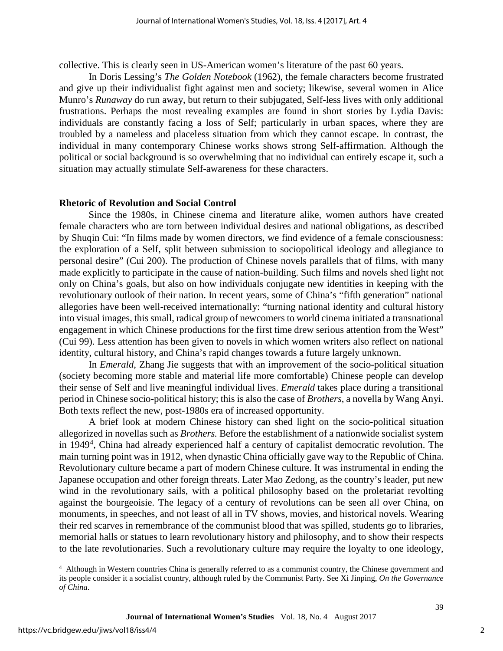collective. This is clearly seen in US-American women's literature of the past 60 years.

In Doris Lessing's *The Golden Notebook* (1962), the female characters become frustrated and give up their individualist fight against men and society; likewise, several women in Alice Munro's *Runaway* do run away, but return to their subjugated, Self-less lives with only additional frustrations. Perhaps the most revealing examples are found in short stories by Lydia Davis: individuals are constantly facing a loss of Self; particularly in urban spaces, where they are troubled by a nameless and placeless situation from which they cannot escape. In contrast, the individual in many contemporary Chinese works shows strong Self-affirmation. Although the political or social background is so overwhelming that no individual can entirely escape it, such a situation may actually stimulate Self-awareness for these characters.

#### **Rhetoric of Revolution and Social Control**

Since the 1980s, in Chinese cinema and literature alike, women authors have created female characters who are torn between individual desires and national obligations, as described by Shuqin Cui: "In films made by women directors, we find evidence of a female consciousness: the exploration of a Self, split between submission to sociopolitical ideology and allegiance to personal desire" (Cui 200). The production of Chinese novels parallels that of films, with many made explicitly to participate in the cause of nation-building. Such films and novels shed light not only on China's goals, but also on how individuals conjugate new identities in keeping with the revolutionary outlook of their nation. In recent years, some of China's "fifth generation" national allegories have been well-received internationally: "turning national identity and cultural history into visual images, this small, radical group of newcomers to world cinema initiated a transnational engagement in which Chinese productions for the first time drew serious attention from the West" (Cui 99). Less attention has been given to novels in which women writers also reflect on national identity, cultural history, and China's rapid changes towards a future largely unknown.

In *Emerald*, Zhang Jie suggests that with an improvement of the socio-political situation (society becoming more stable and material life more comfortable) Chinese people can develop their sense of Self and live meaningful individual lives. *Emerald* takes place during a transitional period in Chinese socio-political history; this is also the case of *Brothers*, a novella by Wang Anyi. Both texts reflect the new, post-1980s era of increased opportunity.

A brief look at modern Chinese history can shed light on the socio-political situation allegorized in novellas such as *Brothers.* Before the establishment of a nationwide socialist system in 19[4](#page-2-0)9<sup>4</sup>, China had already experienced half a century of capitalist democratic revolution. The main turning point was in 1912, when dynastic China officially gave way to the Republic of China. Revolutionary culture became a part of modern Chinese culture. It was instrumental in ending the Japanese occupation and other foreign threats. Later Mao Zedong, as the country's leader, put new wind in the revolutionary sails, with a political philosophy based on the proletariat revolting against the bourgeoisie. The legacy of a century of revolutions can be seen all over China, on monuments, in speeches, and not least of all in TV shows, movies, and historical novels. Wearing their red scarves in remembrance of the communist blood that was spilled, students go to libraries, memorial halls or statues to learn revolutionary history and philosophy, and to show their respects to the late revolutionaries. Such a revolutionary culture may require the loyalty to one ideology,

 $\overline{a}$ 

<span id="page-2-0"></span><sup>&</sup>lt;sup>4</sup> Although in Western countries China is generally referred to as a communist country, the Chinese government and its people consider it a socialist country, although ruled by the Communist Party. See Xi Jinping, *On the Governance of China.*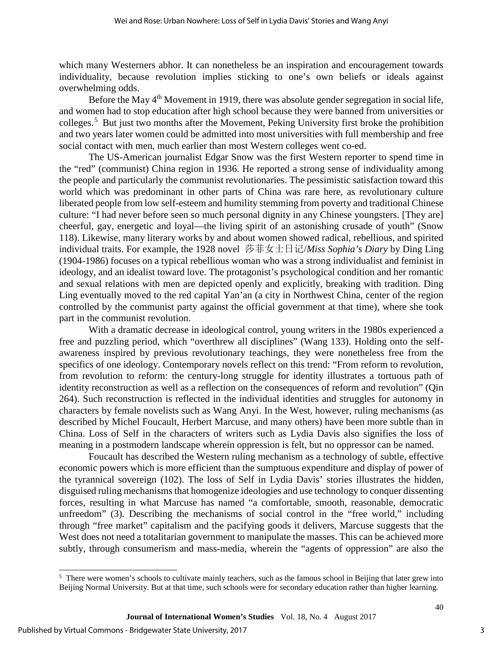which many Westerners abhor. It can nonetheless be an inspiration and encouragement towards individuality, because revolution implies sticking to one's own beliefs or ideals against overwhelming odds.

Before the May 4<sup>th</sup> Movement in 1919, there was absolute gender segregation in social life, and women had to stop education after high school because they were banned from universities or colleges.[5](#page-3-0) But just two months after the Movement, Peking University first broke the prohibition and two years later women could be admitted into most universities with full membership and free social contact with men, much earlier than most Western colleges went co-ed.

The US-American journalist Edgar Snow was the first Western reporter to spend time in the "red" (communist) China region in 1936. He reported a strong sense of individuality among the people and particularly the communist revolutionaries. The pessimistic satisfaction toward this world which was predominant in other parts of China was rare here, as revolutionary culture liberated people from low self-esteem and humility stemming from poverty and traditional Chinese culture: "I had never before seen so much personal dignity in any Chinese youngsters. [They are] cheerful, gay, energetic and loyal—the living spirit of an astonishing crusade of youth" (Snow 118). Likewise, many literary works by and about women showed radical, rebellious, and spirited individual traits. For example, the 1928 novel 莎菲女士日记/*Miss Sophia's Diary* by Ding Ling (1904-1986) focuses on a typical rebellious woman who was a strong individualist and feminist in ideology, and an idealist toward love. The protagonist's psychological condition and her romantic and sexual relations with men are depicted openly and explicitly, breaking with tradition. Ding Ling eventually moved to the red capital Yan'an (a city in Northwest China, center of the region controlled by the communist party against the official government at that time), where she took part in the communist revolution.

With a dramatic decrease in ideological control, young writers in the 1980s experienced a free and puzzling period, which "overthrew all disciplines" (Wang 133). Holding onto the selfawareness inspired by previous revolutionary teachings, they were nonetheless free from the specifics of one ideology. Contemporary novels reflect on this trend: "From reform to revolution, from revolution to reform: the century-long struggle for identity illustrates a tortuous path of identity reconstruction as well as a reflection on the consequences of reform and revolution" (Qin 264). Such reconstruction is reflected in the individual identities and struggles for autonomy in characters by female novelists such as Wang Anyi. In the West, however, ruling mechanisms (as described by Michel Foucault, Herbert Marcuse, and many others) have been more subtle than in China. Loss of Self in the characters of writers such as Lydia Davis also signifies the loss of meaning in a postmodern landscape wherein oppression is felt, but no oppressor can be named.

Foucault has described the Western ruling mechanism as a technology of subtle, effective economic powers which is more efficient than the sumptuous expenditure and display of power of the tyrannical sovereign (102). The loss of Self in Lydia Davis' stories illustrates the hidden, disguised ruling mechanisms that homogenize ideologies and use technology to conquer dissenting forces, resulting in what Marcuse has named "a comfortable, smooth, reasonable, democratic unfreedom" (3). Describing the mechanisms of social control in the "free world," including through "free market" capitalism and the pacifying goods it delivers, Marcuse suggests that the West does not need a totalitarian government to manipulate the masses. This can be achieved more subtly, through consumerism and mass-media, wherein the "agents of oppression" are also the

 $\overline{a}$ 

<span id="page-3-0"></span><sup>&</sup>lt;sup>5</sup> There were women's schools to cultivate mainly teachers, such as the famous school in Beijing that later grew into Beijing Normal University. But at that time, such schools were for secondary education rather than higher learning.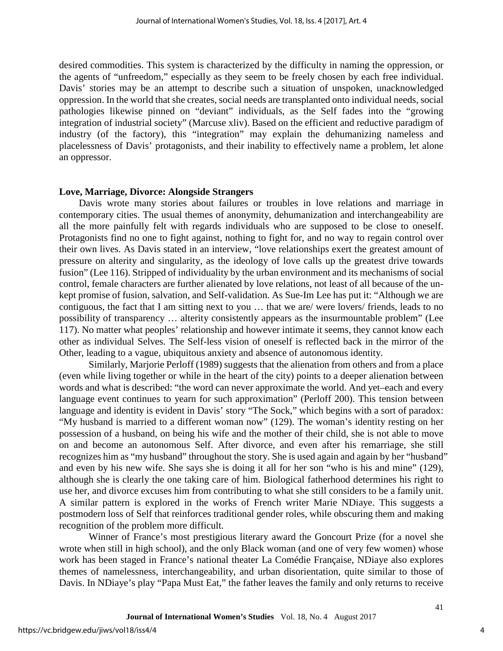desired commodities. This system is characterized by the difficulty in naming the oppression, or the agents of "unfreedom," especially as they seem to be freely chosen by each free individual. Davis' stories may be an attempt to describe such a situation of unspoken, unacknowledged oppression. In the world that she creates, social needs are transplanted onto individual needs, social pathologies likewise pinned on "deviant" individuals, as the Self fades into the "growing integration of industrial society" (Marcuse xliv). Based on the efficient and reductive paradigm of industry (of the factory), this "integration" may explain the dehumanizing nameless and placelessness of Davis' protagonists, and their inability to effectively name a problem, let alone an oppressor.

#### **Love, Marriage, Divorce: Alongside Strangers**

Davis wrote many stories about failures or troubles in love relations and marriage in contemporary cities. The usual themes of anonymity, dehumanization and interchangeability are all the more painfully felt with regards individuals who are supposed to be close to oneself. Protagonists find no one to fight against, nothing to fight for, and no way to regain control over their own lives. As Davis stated in an interview, "love relationships exert the greatest amount of pressure on alterity and singularity, as the ideology of love calls up the greatest drive towards fusion" (Lee 116). Stripped of individuality by the urban environment and its mechanisms of social control, female characters are further alienated by love relations, not least of all because of the unkept promise of fusion, salvation, and Self-validation. As Sue-Im Lee has put it: "Although we are contiguous, the fact that I am sitting next to you … that we are/ were lovers/ friends, leads to no possibility of transparency … alterity consistently appears as the insurmountable problem" (Lee 117). No matter what peoples' relationship and however intimate it seems, they cannot know each other as individual Selves. The Self-less vision of oneself is reflected back in the mirror of the Other, leading to a vague, ubiquitous anxiety and absence of autonomous identity.

Similarly, Marjorie Perloff (1989) suggests that the alienation from others and from a place (even while living together or while in the heart of the city) points to a deeper alienation between words and what is described: "the word can never approximate the world. And yet–each and every language event continues to yearn for such approximation" (Perloff 200). This tension between language and identity is evident in Davis' story "The Sock," which begins with a sort of paradox: "My husband is married to a different woman now" (129). The woman's identity resting on her possession of a husband, on being his wife and the mother of their child, she is not able to move on and become an autonomous Self. After divorce, and even after his remarriage, she still recognizes him as "my husband" throughout the story. She is used again and again by her "husband" and even by his new wife. She says she is doing it all for her son "who is his and mine" (129), although she is clearly the one taking care of him. Biological fatherhood determines his right to use her, and divorce excuses him from contributing to what she still considers to be a family unit. A similar pattern is explored in the works of French writer Marie NDiaye. This suggests a postmodern loss of Self that reinforces traditional gender roles, while obscuring them and making recognition of the problem more difficult.

Winner of France's most prestigious literary award the Goncourt Prize (for a novel she wrote when still in high school), and the only Black woman (and one of very few women) whose work has been staged in France's national theater La Comédie Française, NDiaye also explores themes of namelessness, interchangeability, and urban disorientation, quite similar to those of Davis. In NDiaye's play "Papa Must Eat," the father leaves the family and only returns to receive

4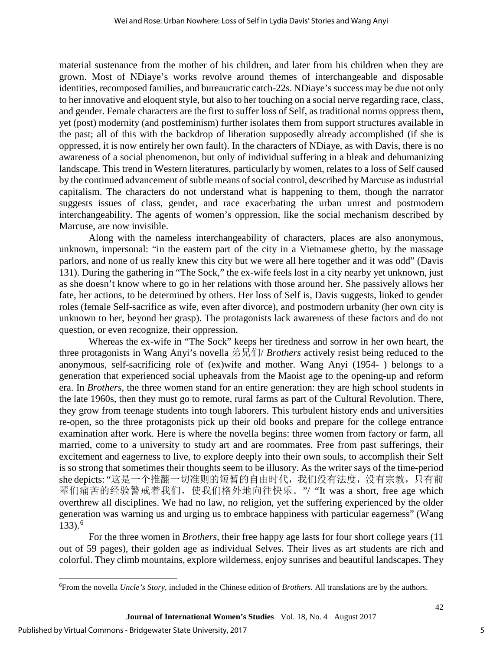material sustenance from the mother of his children, and later from his children when they are grown. Most of NDiaye's works revolve around themes of interchangeable and disposable identities, recomposed families, and bureaucratic catch-22s. NDiaye's success may be due not only to her innovative and eloquent style, but also to her touching on a social nerve regarding race, class, and gender. Female characters are the first to suffer loss of Self, as traditional norms oppress them, yet (post) modernity (and postfeminism) further isolates them from support structures available in the past; all of this with the backdrop of liberation supposedly already accomplished (if she is oppressed, it is now entirely her own fault). In the characters of NDiaye, as with Davis, there is no awareness of a social phenomenon, but only of individual suffering in a bleak and dehumanizing landscape. This trend in Western literatures, particularly by women, relates to a loss of Self caused by the continued advancement of subtle means of social control, described by Marcuse as industrial capitalism. The characters do not understand what is happening to them, though the narrator suggests issues of class, gender, and race exacerbating the urban unrest and postmodern interchangeability. The agents of women's oppression, like the social mechanism described by Marcuse, are now invisible.

Along with the nameless interchangeability of characters, places are also anonymous, unknown, impersonal: "in the eastern part of the city in a Vietnamese ghetto, by the massage parlors, and none of us really knew this city but we were all here together and it was odd" (Davis 131). During the gathering in "The Sock," the ex-wife feels lost in a city nearby yet unknown, just as she doesn't know where to go in her relations with those around her. She passively allows her fate, her actions, to be determined by others. Her loss of Self is, Davis suggests, linked to gender roles (female Self-sacrifice as wife, even after divorce), and postmodern urbanity (her own city is unknown to her, beyond her grasp). The protagonists lack awareness of these factors and do not question, or even recognize, their oppression.

Whereas the ex-wife in "The Sock" keeps her tiredness and sorrow in her own heart, the three protagonists in Wang Anyi's novella 弟兄们/ *Brothers* actively resist being reduced to the anonymous, self-sacrificing role of (ex)wife and mother. Wang Anyi (1954- ) belongs to a generation that experienced social upheavals from the Maoist age to the opening-up and reform era. In *Brothers*, the three women stand for an entire generation: they are high school students in the late 1960s, then they must go to remote, rural farms as part of the Cultural Revolution. There, they grow from teenage students into tough laborers. This turbulent history ends and universities re-open, so the three protagonists pick up their old books and prepare for the college entrance examination after work. Here is where the novella begins: three women from factory or farm, all married, come to a university to study art and are roommates. Free from past sufferings, their excitement and eagerness to live, to explore deeply into their own souls, to accomplish their Self is so strong that sometimes their thoughts seem to be illusory. As the writer says of the time-period she depicts: "这是一个推翻一切准则的短暂的自由时代,我们没有法度,没有宗教,只有前 辈们痛苦的经验警戒着我们,使我们格外地向往快乐。"/ *"*It was a short, free age which overthrew all disciplines. We had no law, no religion, yet the suffering experienced by the older generation was warning us and urging us to embrace happiness with particular eagerness" (Wang  $133$ ).<sup>[6](#page-5-0)</sup>

For the three women in *Brothers*, their free happy age lasts for four short college years (11 out of 59 pages), their golden age as individual Selves. Their lives as art students are rich and colorful. They climb mountains, explore wilderness, enjoy sunrises and beautiful landscapes. They

 $\overline{a}$ 

<span id="page-5-0"></span><sup>6</sup> From the novella *Uncle's Story*, included in the Chinese edition of *Brothers.* All translations are by the authors.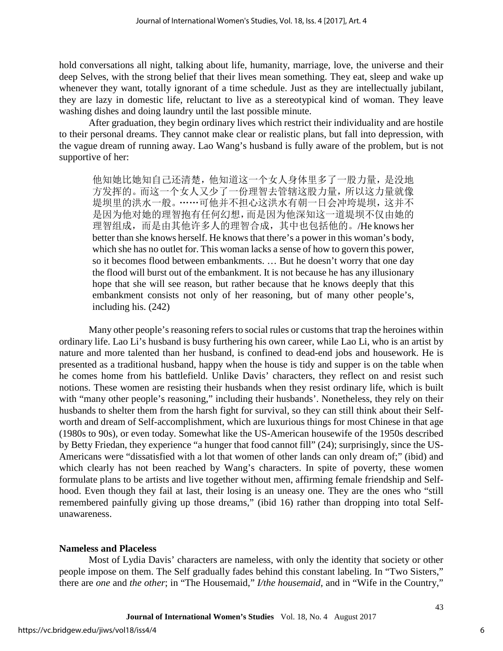hold conversations all night, talking about life, humanity, marriage, love, the universe and their deep Selves, with the strong belief that their lives mean something. They eat, sleep and wake up whenever they want, totally ignorant of a time schedule. Just as they are intellectually jubilant, they are lazy in domestic life, reluctant to live as a stereotypical kind of woman. They leave washing dishes and doing laundry until the last possible minute.

After graduation, they begin ordinary lives which restrict their individuality and are hostile to their personal dreams. They cannot make clear or realistic plans, but fall into depression, with the vague dream of running away. Lao Wang's husband is fully aware of the problem, but is not supportive of her:

他知她比她知自己还清楚,他知道这一个女人身体里多了一股力量,是没地 方发挥的。而这一个女人又少了一份理智去管辖这股力量,所以这力量就像 堤坝里的洪水一般。……可他并不担心这洪水有朝一日会冲垮堤坝,这并不 是因为他对她的理智抱有任何幻想,而是因为他深知这一道堤坝不仅由她的 理智组成,而是由其他许多人的理智合成,其中也包括他的。/He knows her better than she knows herself. He knows that there's a power in this woman's body, which she has no outlet for. This woman lacks a sense of how to govern this power, so it becomes flood between embankments. … But he doesn't worry that one day the flood will burst out of the embankment. It is not because he has any illusionary hope that she will see reason, but rather because that he knows deeply that this embankment consists not only of her reasoning, but of many other people's, including his. (242)

Many other people's reasoning refers to social rules or customs that trap the heroines within ordinary life. Lao Li's husband is busy furthering his own career, while Lao Li, who is an artist by nature and more talented than her husband, is confined to dead-end jobs and housework. He is presented as a traditional husband, happy when the house is tidy and supper is on the table when he comes home from his battlefield. Unlike Davis' characters, they reflect on and resist such notions. These women are resisting their husbands when they resist ordinary life, which is built with "many other people's reasoning," including their husbands'. Nonetheless, they rely on their husbands to shelter them from the harsh fight for survival, so they can still think about their Selfworth and dream of Self-accomplishment, which are luxurious things for most Chinese in that age (1980s to 90s), or even today. Somewhat like the US-American housewife of the 1950s described by Betty Friedan, they experience "a hunger that food cannot fill" (24); surprisingly, since the US-Americans were "dissatisfied with a lot that women of other lands can only dream of;" (ibid) and which clearly has not been reached by Wang's characters. In spite of poverty, these women formulate plans to be artists and live together without men, affirming female friendship and Selfhood. Even though they fail at last, their losing is an uneasy one. They are the ones who "still remembered painfully giving up those dreams," (ibid 16) rather than dropping into total Selfunawareness.

#### **Nameless and Placeless**

Most of Lydia Davis' characters are nameless, with only the identity that society or other people impose on them. The Self gradually fades behind this constant labeling. In "Two Sisters," there are *one* and *the other*; in "The Housemaid," *I/the housemaid*, and in "Wife in the Country,"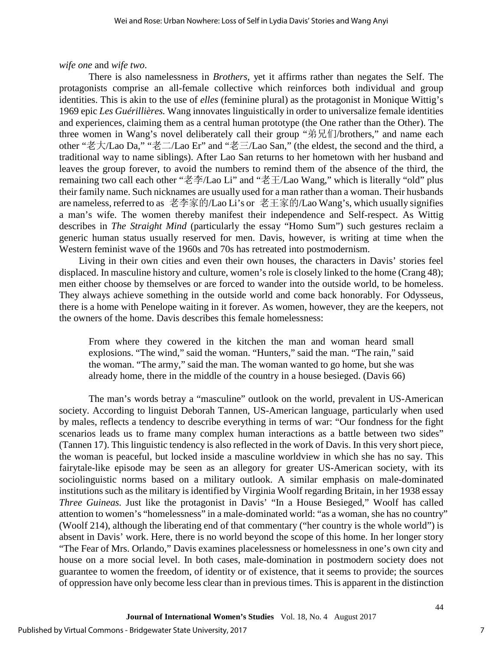### *wife one* and *wife two*.

There is also namelessness in *Brothers*, yet it affirms rather than negates the Self. The protagonists comprise an all-female collective which reinforces both individual and group identities. This is akin to the use of *elles* (feminine plural) as the protagonist in Monique Wittig's 1969 epic *Les Guérillières.* Wang innovates linguistically in order to universalize female identities and experiences, claiming them as a central human prototype (the One rather than the Other). The three women in Wang's novel deliberately call their group "弟兄们/brothers," and name each other "老大/Lao Da," "老二/Lao Er" and "老三/Lao San," (the eldest, the second and the third, a traditional way to name siblings). After Lao San returns to her hometown with her husband and leaves the group forever, to avoid the numbers to remind them of the absence of the third, the remaining two call each other "老李/Lao Li" and "老王/Lao Wang," which is literally "old" plus their family name. Such nicknames are usually used for a man rather than a woman. Their husbands are nameless, referred to as 老李家的/Lao Li's or 老王家的/Lao Wang's, which usually signifies a man's wife. The women thereby manifest their independence and Self-respect. As Wittig describes in *The Straight Mind* (particularly the essay "Homo Sum") such gestures reclaim a generic human status usually reserved for men. Davis, however, is writing at time when the Western feminist wave of the 1960s and 70s has retreated into postmodernism.

Living in their own cities and even their own houses, the characters in Davis' stories feel displaced. In masculine history and culture, women's role is closely linked to the home (Crang 48); men either choose by themselves or are forced to wander into the outside world, to be homeless. They always achieve something in the outside world and come back honorably. For Odysseus, there is a home with Penelope waiting in it forever. As women, however, they are the keepers, not the owners of the home. Davis describes this female homelessness:

From where they cowered in the kitchen the man and woman heard small explosions. "The wind," said the woman. "Hunters," said the man. "The rain," said the woman. "The army," said the man. The woman wanted to go home, but she was already home, there in the middle of the country in a house besieged. (Davis 66)

The man's words betray a "masculine" outlook on the world, prevalent in US-American society. According to linguist Deborah Tannen, US-American language, particularly when used by males, reflects a tendency to describe everything in terms of war: "Our fondness for the fight scenarios leads us to frame many complex human interactions as a battle between two sides" (Tannen 17). This linguistic tendency is also reflected in the work of Davis. In this very short piece, the woman is peaceful, but locked inside a masculine worldview in which she has no say. This fairytale-like episode may be seen as an allegory for greater US-American society, with its sociolinguistic norms based on a military outlook. A similar emphasis on male-dominated institutions such as the military is identified by Virginia Woolf regarding Britain, in her 1938 essay *Three Guineas.* Just like the protagonist in Davis' "In a House Besieged," Woolf has called attention to women's "homelessness" in a male-dominated world: "as a woman, she has no country" (Woolf 214), although the liberating end of that commentary ("her country is the whole world") is absent in Davis' work. Here, there is no world beyond the scope of this home. In her longer story "The Fear of Mrs. Orlando," Davis examines placelessness or homelessness in one's own city and house on a more social level. In both cases, male-domination in postmodern society does not guarantee to women the freedom, of identity or of existence, that it seems to provide; the sources of oppression have only become less clear than in previous times. This is apparent in the distinction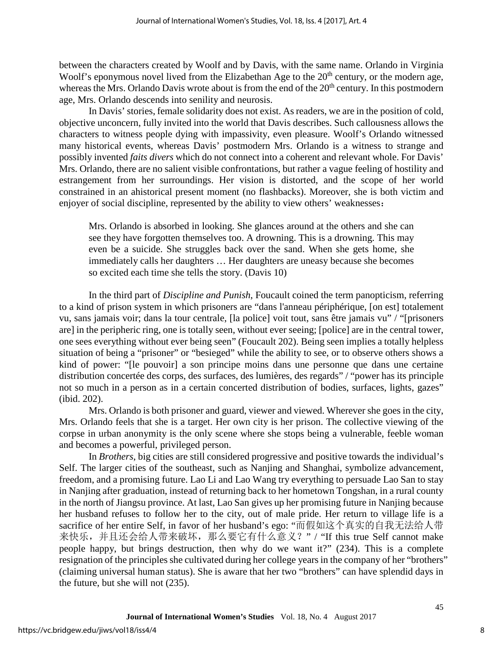between the characters created by Woolf and by Davis, with the same name. Orlando in Virginia Woolf's eponymous novel lived from the Elizabethan Age to the 20<sup>th</sup> century, or the modern age, whereas the Mrs. Orlando Davis wrote about is from the end of the  $20<sup>th</sup>$  century. In this postmodern age, Mrs. Orlando descends into senility and neurosis.

In Davis' stories, female solidarity does not exist. As readers, we are in the position of cold, objective unconcern, fully invited into the world that Davis describes. Such callousness allows the characters to witness people dying with impassivity, even pleasure. Woolf's Orlando witnessed many historical events, whereas Davis' postmodern Mrs. Orlando is a witness to strange and possibly invented *faits divers* which do not connect into a coherent and relevant whole. For Davis' Mrs. Orlando, there are no salient visible confrontations, but rather a vague feeling of hostility and estrangement from her surroundings. Her vision is distorted, and the scope of her world constrained in an ahistorical present moment (no flashbacks). Moreover, she is both victim and enjoyer of social discipline, represented by the ability to view others' weaknesses:

Mrs. Orlando is absorbed in looking. She glances around at the others and she can see they have forgotten themselves too. A drowning. This is a drowning. This may even be a suicide. She struggles back over the sand. When she gets home, she immediately calls her daughters … Her daughters are uneasy because she becomes so excited each time she tells the story. (Davis 10)

In the third part of *Discipline and Punish*, Foucault coined the term panopticism, referring to a kind of prison system in which prisoners are "dans l'anneau périphérique, [on est] totalement vu, sans jamais voir; dans la tour centrale, [la police] voit tout, sans être jamais vu" / "[prisoners are] in the peripheric ring, one is totally seen, without ever seeing; [police] are in the central tower, one sees everything without ever being seen" (Foucault 202). Being seen implies a totally helpless situation of being a "prisoner" or "besieged" while the ability to see, or to observe others shows a kind of power: "[le pouvoir] a son principe moins dans une personne que dans une certaine distribution concertée des corps, des surfaces, des lumières, des regards" / "power has its principle not so much in a person as in a certain concerted distribution of bodies, surfaces, lights, gazes" (ibid. 202).

Mrs. Orlando is both prisoner and guard, viewer and viewed. Wherever she goes in the city, Mrs. Orlando feels that she is a target. Her own city is her prison. The collective viewing of the corpse in urban anonymity is the only scene where she stops being a vulnerable, feeble woman and becomes a powerful, privileged person.

In *Brothers*, big cities are still considered progressive and positive towards the individual's Self. The larger cities of the southeast, such as Nanjing and Shanghai, symbolize advancement, freedom, and a promising future. Lao Li and Lao Wang try everything to persuade Lao San to stay in Nanjing after graduation, instead of returning back to her hometown Tongshan, in a rural county in the north of Jiangsu province. At last, Lao San gives up her promising future in Nanjing because her husband refuses to follow her to the city, out of male pride. Her return to village life is a sacrifice of her entire Self, in favor of her husband's ego: "而假如这个真实的自我无法给人带 来快乐,并且还会给人带来破坏,那么要它有什么意义?"/"If this true Self cannot make people happy, but brings destruction, then why do we want it?" (234). This is a complete resignation of the principles she cultivated during her college years in the company of her "brothers" (claiming universal human status). She is aware that her two "brothers" can have splendid days in the future, but she will not (235).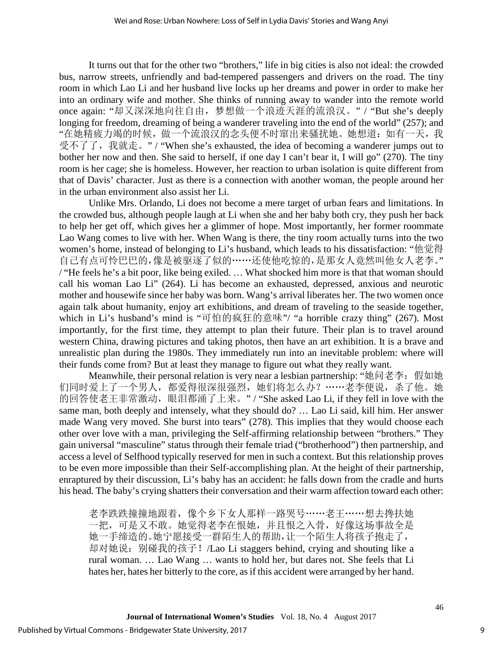It turns out that for the other two "brothers," life in big cities is also not ideal: the crowded bus, narrow streets, unfriendly and bad-tempered passengers and drivers on the road. The tiny room in which Lao Li and her husband live locks up her dreams and power in order to make her into an ordinary wife and mother. She thinks of running away to wander into the remote world once again: "却又深深地向往自由,梦想做一个浪迹天涯的流浪汉。" / "But she's deeply longing for freedom, dreaming of being a wanderer traveling into the end of the world" (257); and "在她精疲力竭的时候,做一个流浪汉的念头便不时窜出来骚扰她。她想道:如有一天,我 受不了了, 我就走。" / "When she's exhausted, the idea of becoming a wanderer jumps out to bother her now and then. She said to herself, if one day I can't bear it, I will go" (270). The tiny room is her cage; she is homeless. However, her reaction to urban isolation is quite different from that of Davis' character. Just as there is a connection with another woman, the people around her in the urban environment also assist her Li.

Unlike Mrs. Orlando, Li does not become a mere target of urban fears and limitations. In the crowded bus, although people laugh at Li when she and her baby both cry, they push her back to help her get off, which gives her a glimmer of hope. Most importantly, her former roommate Lao Wang comes to live with her. When Wang is there, the tiny room actually turns into the two women's home, instead of belonging to Li's husband, which leads to his dissatisfaction: "他觉得 自己有点可怜巴巴的,像是被驱逐了似的……还使他吃惊的,是那女人竟然叫他女人老李。" / "He feels he's a bit poor, like being exiled. … What shocked him more is that that woman should call his woman Lao Li" (264). Li has become an exhausted, depressed, anxious and neurotic mother and housewife since her baby was born. Wang's arrival liberates her. The two women once again talk about humanity, enjoy art exhibitions, and dream of traveling to the seaside together, which in Li's husband's mind is "可怕的疯狂的意味"/ "a horrible crazy thing" (267). Most importantly, for the first time, they attempt to plan their future. Their plan is to travel around western China, drawing pictures and taking photos, then have an art exhibition. It is a brave and unrealistic plan during the 1980s. They immediately run into an inevitable problem: where will their funds come from? But at least they manage to figure out what they really want.

Meanwhile, their personal relation is very near a lesbian partnership: "她问老李: 假如她 们同时爱上了一个男人,都爱得很深很强烈,她们将怎么办?……老李便说,杀了他。她 的回答使老王非常激动,眼泪都涌了上来。" / "She asked Lao Li, if they fell in love with the same man, both deeply and intensely, what they should do? … Lao Li said, kill him. Her answer made Wang very moved. She burst into tears" (278). This implies that they would choose each other over love with a man, privileging the Self-affirming relationship between "brothers." They gain universal "masculine" status through their female triad ("brotherhood") then partnership, and access a level of Selfhood typically reserved for men in such a context. But this relationship proves to be even more impossible than their Self-accomplishing plan. At the height of their partnership, enraptured by their discussion, Li's baby has an accident: he falls down from the cradle and hurts his head. The baby's crying shatters their conversation and their warm affection toward each other:

老李跌跌撞撞地跟着,像个乡下女人那样一路哭号……老王……想去搀扶她 一把,可是又不敢。她觉得老李在恨她,并且恨之入骨,好像这场事故全是 她一手缔造的。她宁愿接受一群陌生人的帮助,让一个陌生人将孩子抱走了, 却对她说:别碰我的孩子!/Lao Li staggers behind, crying and shouting like a rural woman. … Lao Wang … wants to hold her, but dares not. She feels that Li hates her, hates her bitterly to the core, as if this accident were arranged by her hand.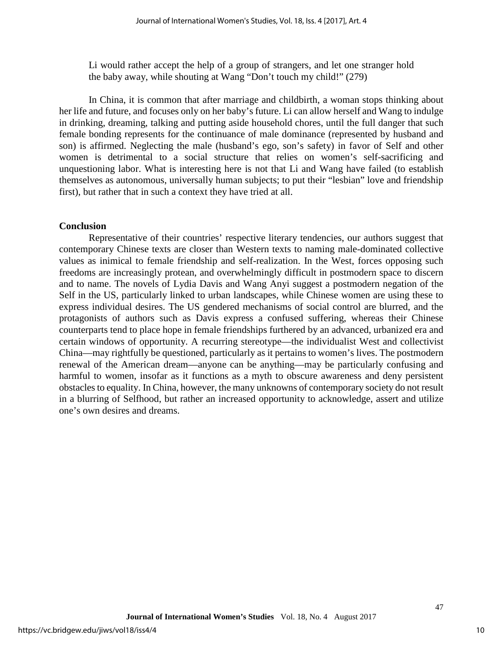Li would rather accept the help of a group of strangers, and let one stranger hold the baby away, while shouting at Wang "Don't touch my child!" (279)

In China, it is common that after marriage and childbirth, a woman stops thinking about her life and future, and focuses only on her baby's future. Li can allow herself and Wang to indulge in drinking, dreaming, talking and putting aside household chores, until the full danger that such female bonding represents for the continuance of male dominance (represented by husband and son) is affirmed. Neglecting the male (husband's ego, son's safety) in favor of Self and other women is detrimental to a social structure that relies on women's self-sacrificing and unquestioning labor. What is interesting here is not that Li and Wang have failed (to establish themselves as autonomous, universally human subjects; to put their "lesbian" love and friendship first), but rather that in such a context they have tried at all.

#### **Conclusion**

Representative of their countries' respective literary tendencies, our authors suggest that contemporary Chinese texts are closer than Western texts to naming male-dominated collective values as inimical to female friendship and self-realization. In the West, forces opposing such freedoms are increasingly protean, and overwhelmingly difficult in postmodern space to discern and to name. The novels of Lydia Davis and Wang Anyi suggest a postmodern negation of the Self in the US, particularly linked to urban landscapes, while Chinese women are using these to express individual desires. The US gendered mechanisms of social control are blurred, and the protagonists of authors such as Davis express a confused suffering, whereas their Chinese counterparts tend to place hope in female friendships furthered by an advanced, urbanized era and certain windows of opportunity. A recurring stereotype—the individualist West and collectivist China—may rightfully be questioned, particularly as it pertains to women's lives. The postmodern renewal of the American dream—anyone can be anything—may be particularly confusing and harmful to women, insofar as it functions as a myth to obscure awareness and deny persistent obstacles to equality. In China, however, the many unknowns of contemporary society do not result in a blurring of Selfhood, but rather an increased opportunity to acknowledge, assert and utilize one's own desires and dreams.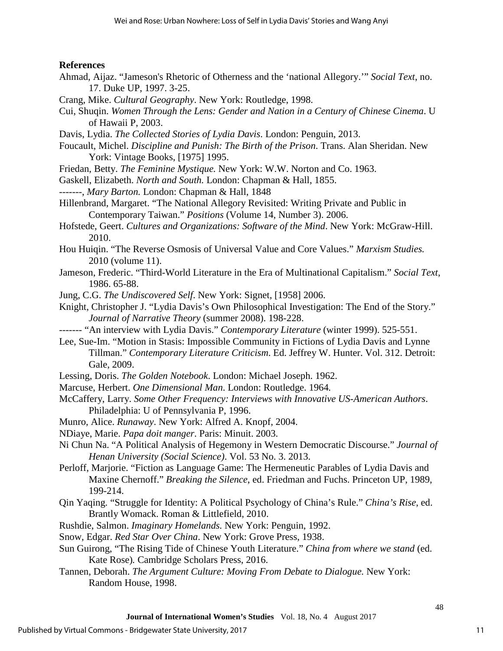## **References**

- Ahmad, Aijaz. "Jameson's Rhetoric of Otherness and the 'national Allegory.'" *Social Text*, no. 17. Duke UP, 1997. 3-25.
- Crang, Mike. *Cultural Geography*. New York: Routledge, 1998.
- Cui, Shuqin. *Women Through the Lens: Gender and Nation in a Century of Chinese Cinema*. U of Hawaii P, 2003.
- Davis, Lydia. *The Collected Stories of Lydia Davis*. London: Penguin, 2013.
- Foucault, Michel. *Discipline and Punish: The Birth of the Prison*. Trans. Alan Sheridan. New York: Vintage Books, [1975] 1995.
- Friedan, Betty. *The Feminine Mystique.* New York: W.W. Norton and Co. 1963.
- Gaskell, Elizabeth. *North and South.* London: [Chapman & Hall,](https://en.wikipedia.org/wiki/Chapman_%26_Hall) 1855.
- -------, *Mary Barton.* London: [Chapman & Hall,](https://en.wikipedia.org/wiki/Chapman_%26_Hall) 1848
- [Hillenbrand,](http://muse.jhu.edu/results?section1=author&search1=Margaret%20Hillenbrand) Margaret. "The National Allegory Revisited: Writing Private and Public in Contemporary Taiwan." *Positions* (Volume 14, Number 3). 2006.
- Hofstede, Geert. *Cultures and Organizations: Software of the Mind*. New York: McGraw-Hill. 2010.
- Hou Huiqin. "The Reverse Osmosis of Universal Value and Core Values." *Marxism Studies.* 2010 (volume 11).
- Jameson, Frederic. "Third-World Literature in the Era of Multinational Capitalism." *Social Text*, 1986. 65-88.
- Jung, C.G. *The Undiscovered Self*. New York: Signet, [1958] 2006.
- Knight, Christopher J. "Lydia Davis's Own Philosophical Investigation: The End of the Story." *Journal of Narrative Theory* (summer 2008). 198-228.
- ------- "An interview with Lydia Davis." *Contemporary Literature* (winter 1999). 525-551.
- Lee, Sue-Im. "Motion in Stasis: Impossible Community in Fictions of Lydia Davis and Lynne Tillman." *Contemporary Literature Criticism*. Ed. Jeffrey W. Hunter. Vol. 312. Detroit: Gale, 2009.
- Lessing, Doris. *The Golden Notebook*. London: Michael Joseph. 1962.
- Marcuse, Herbert. *One Dimensional Man*. London: Routledge. 1964*.*
- McCaffery, Larry. *Some Other Frequency: Interviews with Innovative US-American Authors*. Philadelphia: U of Pennsylvania P, 1996.
- Munro, Alice. *Runaway*. New York: Alfred A. Knopf, 2004.
- NDiaye, Marie. *Papa doit manger*. Paris: Minuit. 2003.
- Ni Chun Na. "A Political Analysis of Hegemony in Western Democratic Discourse." *Journal of Henan University (Social Science)*. Vol. 53 No. 3. 2013.
- Perloff, Marjorie. "Fiction as Language Game: The Hermeneutic Parables of Lydia Davis and Maxine Chernoff." *Breaking the Silence*, ed. Friedman and Fuchs. Princeton UP, 1989, 199-214.
- Qin Yaqing. "Struggle for Identity: A Political Psychology of China's Rule." *China's Rise*, ed. Brantly Womack. Roman & Littlefield, 2010.
- Rushdie, Salmon. *Imaginary Homelands.* New York: Penguin, 1992.
- Snow, Edgar. *Red Star Over China*. New York: Grove Press, 1938.
- Sun Guirong, "The Rising Tide of Chinese Youth Literature." *China from where we stand* (ed. Kate Rose)*.* Cambridge Scholars Press, 2016.
- Tannen, Deborah. *The Argument Culture: Moving From Debate to Dialogue.* New York: Random House, 1998.